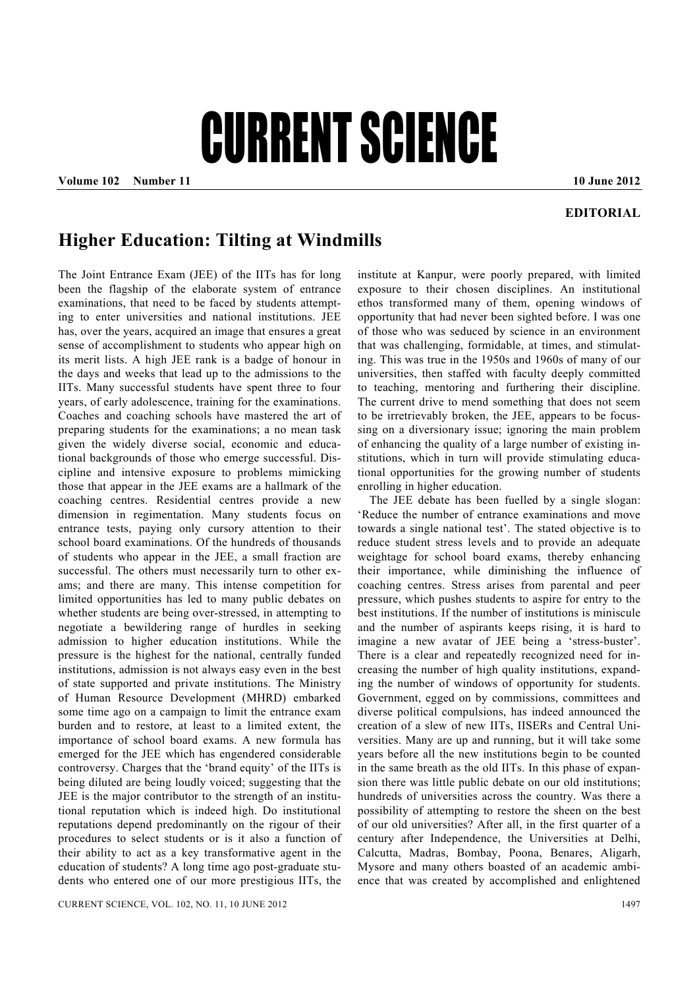## CURRENT SCIENCE

**Volume 102** Number 11 **10 June 2012 10 June 2012** 

## **EDITORIAL**

## **Higher Education: Tilting at Windmills**

The Joint Entrance Exam (JEE) of the IITs has for long been the flagship of the elaborate system of entrance examinations, that need to be faced by students attempting to enter universities and national institutions. JEE has, over the years, acquired an image that ensures a great sense of accomplishment to students who appear high on its merit lists. A high JEE rank is a badge of honour in the days and weeks that lead up to the admissions to the IITs. Many successful students have spent three to four years, of early adolescence, training for the examinations. Coaches and coaching schools have mastered the art of preparing students for the examinations; a no mean task given the widely diverse social, economic and educational backgrounds of those who emerge successful. Discipline and intensive exposure to problems mimicking those that appear in the JEE exams are a hallmark of the coaching centres. Residential centres provide a new dimension in regimentation. Many students focus on entrance tests, paying only cursory attention to their school board examinations. Of the hundreds of thousands of students who appear in the JEE, a small fraction are successful. The others must necessarily turn to other exams; and there are many. This intense competition for limited opportunities has led to many public debates on whether students are being over-stressed, in attempting to negotiate a bewildering range of hurdles in seeking admission to higher education institutions. While the pressure is the highest for the national, centrally funded institutions, admission is not always easy even in the best of state supported and private institutions. The Ministry of Human Resource Development (MHRD) embarked some time ago on a campaign to limit the entrance exam burden and to restore, at least to a limited extent, the importance of school board exams. A new formula has emerged for the JEE which has engendered considerable controversy. Charges that the 'brand equity' of the IITs is being diluted are being loudly voiced; suggesting that the JEE is the major contributor to the strength of an institutional reputation which is indeed high. Do institutional reputations depend predominantly on the rigour of their procedures to select students or is it also a function of their ability to act as a key transformative agent in the education of students? A long time ago post-graduate students who entered one of our more prestigious IITs, the

institute at Kanpur, were poorly prepared, with limited exposure to their chosen disciplines. An institutional ethos transformed many of them, opening windows of opportunity that had never been sighted before. I was one of those who was seduced by science in an environment that was challenging, formidable, at times, and stimulating. This was true in the 1950s and 1960s of many of our universities, then staffed with faculty deeply committed to teaching, mentoring and furthering their discipline. The current drive to mend something that does not seem to be irretrievably broken, the JEE, appears to be focussing on a diversionary issue; ignoring the main problem of enhancing the quality of a large number of existing institutions, which in turn will provide stimulating educational opportunities for the growing number of students enrolling in higher education.

 The JEE debate has been fuelled by a single slogan: 'Reduce the number of entrance examinations and move towards a single national test'. The stated objective is to reduce student stress levels and to provide an adequate weightage for school board exams, thereby enhancing their importance, while diminishing the influence of coaching centres. Stress arises from parental and peer pressure, which pushes students to aspire for entry to the best institutions. If the number of institutions is miniscule and the number of aspirants keeps rising, it is hard to imagine a new avatar of JEE being a 'stress-buster'. There is a clear and repeatedly recognized need for increasing the number of high quality institutions, expanding the number of windows of opportunity for students. Government, egged on by commissions, committees and diverse political compulsions, has indeed announced the creation of a slew of new IITs, IISERs and Central Universities. Many are up and running, but it will take some years before all the new institutions begin to be counted in the same breath as the old IITs. In this phase of expansion there was little public debate on our old institutions; hundreds of universities across the country. Was there a possibility of attempting to restore the sheen on the best of our old universities? After all, in the first quarter of a century after Independence, the Universities at Delhi, Calcutta, Madras, Bombay, Poona, Benares, Aligarh, Mysore and many others boasted of an academic ambience that was created by accomplished and enlightened